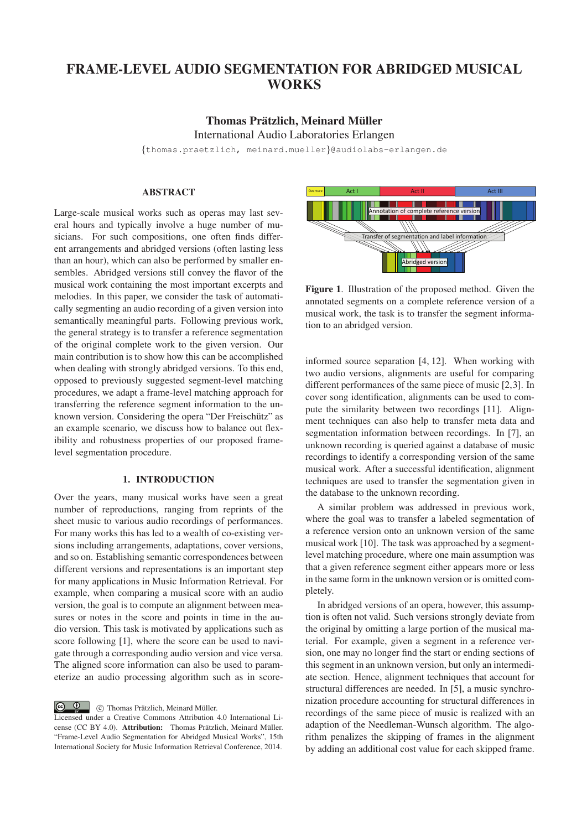## FRAME-LEVEL AUDIO SEGMENTATION FOR ABRIDGED MUSICAL **WORKS**

# Thomas Prätzlich, Meinard Müller

International Audio Laboratories Erlangen

{thomas.praetzlich, meinard.mueller}@audiolabs-erlangen.de

## ABSTRACT

Large-scale musical works such as operas may last several hours and typically involve a huge number of musicians. For such compositions, one often finds different arrangements and abridged versions (often lasting less than an hour), which can also be performed by smaller ensembles. Abridged versions still convey the flavor of the musical work containing the most important excerpts and melodies. In this paper, we consider the task of automatically segmenting an audio recording of a given version into semantically meaningful parts. Following previous work, the general strategy is to transfer a reference segmentation of the original complete work to the given version. Our main contribution is to show how this can be accomplished when dealing with strongly abridged versions. To this end, opposed to previously suggested segment-level matching procedures, we adapt a frame-level matching approach for transferring the reference segment information to the unknown version. Considering the opera "Der Freischütz" as an example scenario, we discuss how to balance out flexibility and robustness properties of our proposed framelevel segmentation procedure.

## 1. INTRODUCTION

Over the years, many musical works have seen a great number of reproductions, ranging from reprints of the sheet music to various audio recordings of performances. For many works this has led to a wealth of co-existing versions including arrangements, adaptations, cover versions, and so on. Establishing semantic correspondences between different versions and representations is an important step for many applications in Music Information Retrieval. For example, when comparing a musical score with an audio version, the goal is to compute an alignment between measures or notes in the score and points in time in the audio version. This task is motivated by applications such as score following [1], where the score can be used to navigate through a corresponding audio version and vice versa. The aligned score information can also be used to parameterize an audio processing algorithm such as in score-

 $\boxed{6}$  0 © Thomas Prätzlich, Meinard Müller.

Licensed under a Creative Commons Attribution 4.0 International License (CC BY 4.0). Attribution: Thomas Prätzlich, Meinard Müller. "Frame-Level Audio Segmentation for Abridged Musical Works", 15th International Society for Music Information Retrieval Conference, 2014.



Figure 1. Illustration of the proposed method. Given the annotated segments on a complete reference version of a musical work, the task is to transfer the segment information to an abridged version.

informed source separation [4, 12]. When working with two audio versions, alignments are useful for comparing different performances of the same piece of music [2,3]. In cover song identification, alignments can be used to compute the similarity between two recordings [11]. Alignment techniques can also help to transfer meta data and segmentation information between recordings. In [7], an unknown recording is queried against a database of music recordings to identify a corresponding version of the same musical work. After a successful identification, alignment techniques are used to transfer the segmentation given in the database to the unknown recording.

A similar problem was addressed in previous work, where the goal was to transfer a labeled segmentation of a reference version onto an unknown version of the same musical work [10]. The task was approached by a segmentlevel matching procedure, where one main assumption was that a given reference segment either appears more or less in the same form in the unknown version or is omitted completely.

In abridged versions of an opera, however, this assumption is often not valid. Such versions strongly deviate from the original by omitting a large portion of the musical material. For example, given a segment in a reference version, one may no longer find the start or ending sections of this segment in an unknown version, but only an intermediate section. Hence, alignment techniques that account for structural differences are needed. In [5], a music synchronization procedure accounting for structural differences in recordings of the same piece of music is realized with an adaption of the Needleman-Wunsch algorithm. The algorithm penalizes the skipping of frames in the alignment by adding an additional cost value for each skipped frame.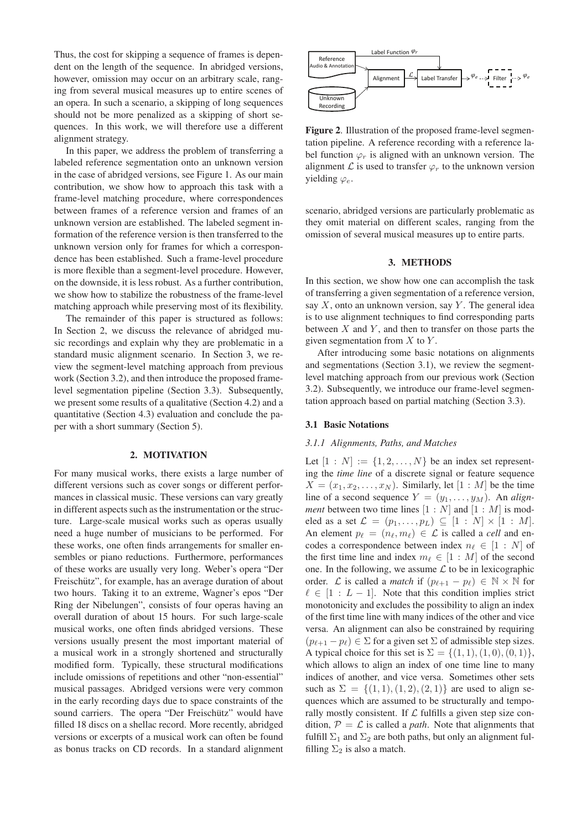Thus, the cost for skipping a sequence of frames is dependent on the length of the sequence. In abridged versions, however, omission may occur on an arbitrary scale, ranging from several musical measures up to entire scenes of an opera. In such a scenario, a skipping of long sequences should not be more penalized as a skipping of short sequences. In this work, we will therefore use a different alignment strategy.

In this paper, we address the problem of transferring a labeled reference segmentation onto an unknown version in the case of abridged versions, see Figure 1. As our main contribution, we show how to approach this task with a frame-level matching procedure, where correspondences between frames of a reference version and frames of an unknown version are established. The labeled segment information of the reference version is then transferred to the unknown version only for frames for which a correspondence has been established. Such a frame-level procedure is more flexible than a segment-level procedure. However, on the downside, it is less robust. As a further contribution, we show how to stabilize the robustness of the frame-level matching approach while preserving most of its flexibility.

The remainder of this paper is structured as follows: In Section 2, we discuss the relevance of abridged music recordings and explain why they are problematic in a standard music alignment scenario. In Section 3, we review the segment-level matching approach from previous work (Section 3.2), and then introduce the proposed framelevel segmentation pipeline (Section 3.3). Subsequently, we present some results of a qualitative (Section 4.2) and a quantitative (Section 4.3) evaluation and conclude the paper with a short summary (Section 5).

#### 2. MOTIVATION

For many musical works, there exists a large number of different versions such as cover songs or different performances in classical music. These versions can vary greatly in different aspects such as the instrumentation or the structure. Large-scale musical works such as operas usually need a huge number of musicians to be performed. For these works, one often finds arrangements for smaller ensembles or piano reductions. Furthermore, performances of these works are usually very long. Weber's opera "Der Freischütz", for example, has an average duration of about two hours. Taking it to an extreme, Wagner's epos "Der Ring der Nibelungen", consists of four operas having an overall duration of about 15 hours. For such large-scale musical works, one often finds abridged versions. These versions usually present the most important material of a musical work in a strongly shortened and structurally modified form. Typically, these structural modifications include omissions of repetitions and other "non-essential" musical passages. Abridged versions were very common in the early recording days due to space constraints of the sound carriers. The opera "Der Freischütz" would have filled 18 discs on a shellac record. More recently, abridged versions or excerpts of a musical work can often be found as bonus tracks on CD records. In a standard alignment



Figure 2. Illustration of the proposed frame-level segmentation pipeline. A reference recording with a reference label function  $\varphi_r$  is aligned with an unknown version. The alignment  $\mathcal L$  is used to transfer  $\varphi_r$  to the unknown version yielding  $\varphi_e$ .

scenario, abridged versions are particularly problematic as they omit material on different scales, ranging from the omission of several musical measures up to entire parts.

#### 3. METHODS

In this section, we show how one can accomplish the task of transferring a given segmentation of a reference version, say  $X$ , onto an unknown version, say  $Y$ . The general idea is to use alignment techniques to find corresponding parts between  $X$  and  $Y$ , and then to transfer on those parts the given segmentation from  $X$  to  $Y$ .

After introducing some basic notations on alignments and segmentations (Section 3.1), we review the segmentlevel matching approach from our previous work (Section 3.2). Subsequently, we introduce our frame-level segmentation approach based on partial matching (Section 3.3).

#### 3.1 Basic Notations

#### *3.1.1 Alignments, Paths, and Matches*

Let  $[1 : N] := \{1, 2, \ldots, N\}$  be an index set representing the *time line* of a discrete signal or feature sequence  $X = (x_1, x_2, \dots, x_N)$ . Similarly, let  $[1 : M]$  be the time line of a second sequence  $Y = (y_1, \ldots, y_M)$ . An *alignment* between two time lines  $[1 : N]$  and  $[1 : M]$  is modeled as a set  $\mathcal{L} = (p_1, \ldots, p_L) \subseteq [1 : N] \times [1 : M]$ . An element  $p_{\ell} = (n_{\ell}, m_{\ell}) \in \mathcal{L}$  is called a *cell* and encodes a correspondence between index  $n_{\ell} \in [1 : N]$  of the first time line and index  $m_{\ell} \in [1 : M]$  of the second one. In the following, we assume  $\mathcal L$  to be in lexicographic order. *L* is called a *match* if  $(p_{\ell+1} - p_{\ell}) \in \mathbb{N} \times \mathbb{N}$  for  $\ell \in [1 : L - 1]$ . Note that this condition implies strict monotonicity and excludes the possibility to align an index of the first time line with many indices of the other and vice versa. An alignment can also be constrained by requiring  $(p_{\ell+1} - p_{\ell}) \in \Sigma$  for a given set  $\Sigma$  of admissible step sizes. A typical choice for this set is  $\Sigma = \{(1, 1), (1, 0), (0, 1)\},\$ which allows to align an index of one time line to many indices of another, and vice versa. Sometimes other sets such as  $\Sigma = \{(1, 1), (1, 2), (2, 1)\}\$  are used to align sequences which are assumed to be structurally and temporally mostly consistent. If  $\mathcal L$  fulfills a given step size condition,  $P = \mathcal{L}$  is called a *path*. Note that alignments that fulfill  $\Sigma_1$  and  $\Sigma_2$  are both paths, but only an alignment fulfilling  $\Sigma_2$  is also a match.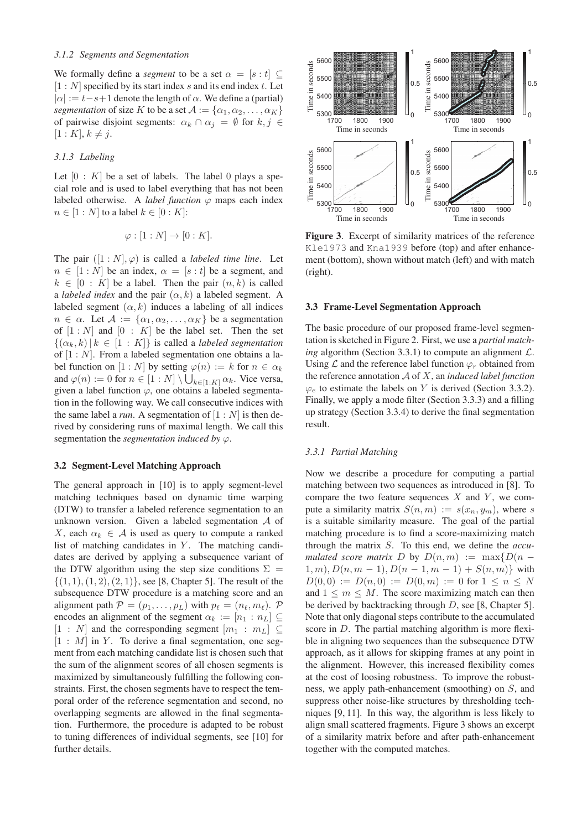We formally define a *segment* to be a set  $\alpha = [s : t] \subseteq$  $[1 : N]$  specified by its start index s and its end index t. Let  $|\alpha| := t - s + 1$  denote the length of  $\alpha$ . We define a (partial) *segmentation* of size K to be a set  $A := {\alpha_1, \alpha_2, ..., \alpha_K}$ of pairwise disjoint segments:  $\alpha_k \cap \alpha_j = \emptyset$  for  $k, j \in$  $[1 : K], k \neq j.$ 

## *3.1.3 Labeling*

Let  $[0: K]$  be a set of labels. The label 0 plays a special role and is used to label everything that has not been labeled otherwise. A *label function*  $\varphi$  maps each index  $n \in [1:N]$  to a label  $k \in [0:K]$ :

$$
\varphi : [1:N] \to [0:K].
$$

The pair  $([1:N], \varphi)$  is called a *labeled time line*. Let  $n \in [1:N]$  be an index,  $\alpha = [s:t]$  be a segment, and  $k \in [0 : K]$  be a label. Then the pair  $(n, k)$  is called a *labeled index* and the pair  $(\alpha, k)$  a labeled segment. A labeled segment  $(\alpha, k)$  induces a labeling of all indices  $n \in \alpha$ . Let  $\mathcal{A} := \{\alpha_1, \alpha_2, \dots, \alpha_K\}$  be a segmentation of  $[1 : N]$  and  $[0 : K]$  be the label set. Then the set  ${({\alpha}_k, k) | k \in [1 : K]}$  is called a *labeled segmentation* of  $[1 : N]$ . From a labeled segmentation one obtains a label function on  $[1:N]$  by setting  $\varphi(n) := k$  for  $n \in \alpha_k$ and  $\varphi(n) := 0$  for  $n \in [1:N] \setminus \bigcup_{k \in [1:K]} \alpha_k$ . Vice versa, given a label function  $\varphi$ , one obtains a labeled segmentation in the following way. We call consecutive indices with the same label a *run*. A segmentation of  $[1:N]$  is then derived by considering runs of maximal length. We call this segmentation the *segmentation induced by*  $\varphi$ .

#### 3.2 Segment-Level Matching Approach

The general approach in [10] is to apply segment-level matching techniques based on dynamic time warping (DTW) to transfer a labeled reference segmentation to an unknown version. Given a labeled segmentation A of X, each  $\alpha_k \in \mathcal{A}$  is used as query to compute a ranked list of matching candidates in  $Y$ . The matching candidates are derived by applying a subsequence variant of the DTW algorithm using the step size conditions  $\Sigma =$  $\{(1, 1), (1, 2), (2, 1)\}\)$ , see [8, Chapter 5]. The result of the subsequence DTW procedure is a matching score and an alignment path  $P = (p_1, \ldots, p_L)$  with  $p_\ell = (n_\ell, m_\ell)$ . P encodes an alignment of the segment  $\alpha_k := [n_1 : n_L] \subseteq$  $[1 : N]$  and the corresponding segment  $[m_1 : m_L] \subseteq$  $[1 : M]$  in Y. To derive a final segmentation, one segment from each matching candidate list is chosen such that the sum of the alignment scores of all chosen segments is maximized by simultaneously fulfilling the following constraints. First, the chosen segments have to respect the temporal order of the reference segmentation and second, no overlapping segments are allowed in the final segmentation. Furthermore, the procedure is adapted to be robust to tuning differences of individual segments, see [10] for further details.



Figure 3. Excerpt of similarity matrices of the reference Kle1973 and Kna1939 before (top) and after enhancement (bottom), shown without match (left) and with match (right).

#### 3.3 Frame-Level Segmentation Approach

The basic procedure of our proposed frame-level segmentation is sketched in Figure 2. First, we use a *partial matching* algorithm (Section 3.3.1) to compute an alignment  $\mathcal{L}$ . Using  $\mathcal L$  and the reference label function  $\varphi_r$  obtained from the reference annotation A of X, an *induced label function*  $\varphi_e$  to estimate the labels on Y is derived (Section 3.3.2). Finally, we apply a mode filter (Section 3.3.3) and a filling up strategy (Section 3.3.4) to derive the final segmentation result.

#### *3.3.1 Partial Matching*

Now we describe a procedure for computing a partial matching between two sequences as introduced in [8]. To compare the two feature sequences  $X$  and  $Y$ , we compute a similarity matrix  $S(n, m) := s(x_n, y_m)$ , where s is a suitable similarity measure. The goal of the partial matching procedure is to find a score-maximizing match through the matrix S. To this end, we define the *accumulated score matrix* D by  $D(n, m) := \max\{D(n - m)\}$  $1, m$ ,  $D(n, m - 1)$ ,  $D(n - 1, m - 1) + S(n, m)$  with  $D(0,0) := D(n,0) := D(0,m) := 0$  for  $1 \leq n \leq N$ and  $1 \leq m \leq M$ . The score maximizing match can then be derived by backtracking through D, see [8, Chapter 5]. Note that only diagonal steps contribute to the accumulated score in D. The partial matching algorithm is more flexible in aligning two sequences than the subsequence DTW approach, as it allows for skipping frames at any point in the alignment. However, this increased flexibility comes at the cost of loosing robustness. To improve the robustness, we apply path-enhancement (smoothing) on S, and suppress other noise-like structures by thresholding techniques [9, 11]. In this way, the algorithm is less likely to align small scattered fragments. Figure 3 shows an excerpt of a similarity matrix before and after path-enhancement together with the computed matches.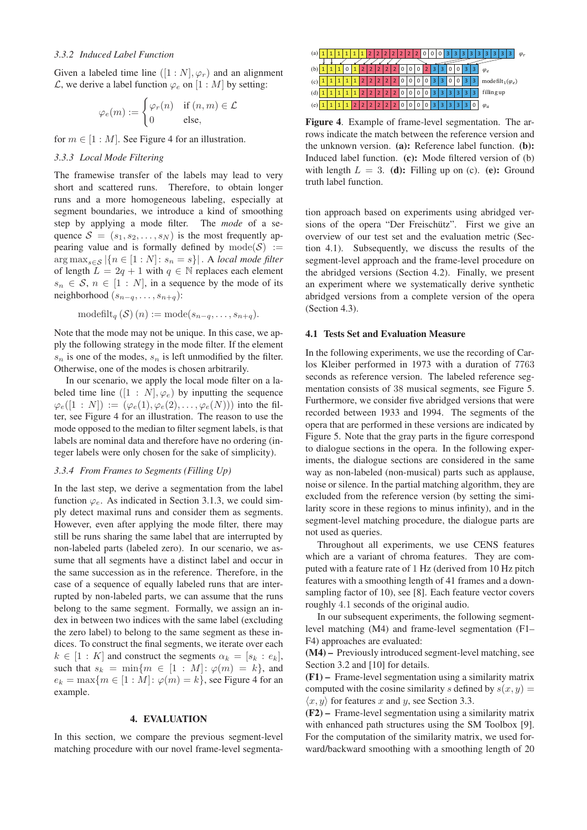#### *3.3.2 Induced Label Function*

Given a labeled time line  $([1:N], \varphi_r)$  and an alignment L, we derive a label function  $\varphi_e$  on  $[1 : M]$  by setting:

$$
\varphi_e(m) := \begin{cases} \varphi_r(n) & \text{if } (n, m) \in \mathcal{L} \\ 0 & \text{else,} \end{cases}
$$

for  $m \in [1 : M]$ . See Figure 4 for an illustration.

### *3.3.3 Local Mode Filtering*

The framewise transfer of the labels may lead to very short and scattered runs. Therefore, to obtain longer runs and a more homogeneous labeling, especially at segment boundaries, we introduce a kind of smoothing step by applying a mode filter. The *mode* of a sequence  $S = (s_1, s_2, \dots, s_N)$  is the most frequently appearing value and is formally defined by  $mode(S) :=$  $\arg \max_{s \in \mathcal{S}} |\{n \in [1:N]: s_n = s\}|$ . A *local mode filter* of length  $L = 2q + 1$  with  $q \in \mathbb{N}$  replaces each element  $s_n \in S$ ,  $n \in [1:N]$ , in a sequence by the mode of its neighborhood  $(s_{n-q},...,s_{n+q})$ :

$$
\operatorname{modelilt}_q(\mathcal{S})\,(n) := \operatorname{mode}(s_{n-q}, \ldots, s_{n+q}).
$$

Note that the mode may not be unique. In this case, we apply the following strategy in the mode filter. If the element  $s_n$  is one of the modes,  $s_n$  is left unmodified by the filter. Otherwise, one of the modes is chosen arbitrarily.

In our scenario, we apply the local mode filter on a labeled time line  $([1 : N], \varphi_e)$  by inputting the sequence  $\varphi_e([1:N]) := (\varphi_e(1), \varphi_e(2), \ldots, \varphi_e(N)))$  into the filter, see Figure 4 for an illustration. The reason to use the mode opposed to the median to filter segment labels, is that labels are nominal data and therefore have no ordering (integer labels were only chosen for the sake of simplicity).

## *3.3.4 From Frames to Segments (Filling Up)*

In the last step, we derive a segmentation from the label function  $\varphi_e$ . As indicated in Section 3.1.3, we could simply detect maximal runs and consider them as segments. However, even after applying the mode filter, there may still be runs sharing the same label that are interrupted by non-labeled parts (labeled zero). In our scenario, we assume that all segments have a distinct label and occur in the same succession as in the reference. Therefore, in the case of a sequence of equally labeled runs that are interrupted by non-labeled parts, we can assume that the runs belong to the same segment. Formally, we assign an index in between two indices with the same label (excluding the zero label) to belong to the same segment as these indices. To construct the final segments, we iterate over each  $k \in [1: K]$  and construct the segments  $\alpha_k = [s_k : e_k],$ such that  $s_k = \min\{m \in [1 : M] : \varphi(m) = k\}$ , and  $e_k = \max\{m \in [1 : M] : \varphi(m) = k\}$ , see Figure 4 for an example.

#### 4. EVALUATION

In this section, we compare the previous segment-level matching procedure with our novel frame-level segmenta-



Figure 4. Example of frame-level segmentation. The arrows indicate the match between the reference version and the unknown version. (a): Reference label function. (b): Induced label function. (c): Mode filtered version of (b) with length  $L = 3$ . (d): Filling up on (c). (e): Ground truth label function.

tion approach based on experiments using abridged versions of the opera "Der Freischütz". First we give an overview of our test set and the evaluation metric (Section 4.1). Subsequently, we discuss the results of the segment-level approach and the frame-level procedure on the abridged versions (Section 4.2). Finally, we present an experiment where we systematically derive synthetic abridged versions from a complete version of the opera (Section 4.3).

#### 4.1 Tests Set and Evaluation Measure

In the following experiments, we use the recording of Carlos Kleiber performed in 1973 with a duration of 7763 seconds as reference version. The labeled reference segmentation consists of 38 musical segments, see Figure 5. Furthermore, we consider five abridged versions that were recorded between 1933 and 1994. The segments of the opera that are performed in these versions are indicated by Figure 5. Note that the gray parts in the figure correspond to dialogue sections in the opera. In the following experiments, the dialogue sections are considered in the same way as non-labeled (non-musical) parts such as applause, noise or silence. In the partial matching algorithm, they are excluded from the reference version (by setting the similarity score in these regions to minus infinity), and in the segment-level matching procedure, the dialogue parts are not used as queries.

Throughout all experiments, we use CENS features which are a variant of chroma features. They are computed with a feature rate of 1 Hz (derived from 10 Hz pitch features with a smoothing length of 41 frames and a downsampling factor of 10), see [8]. Each feature vector covers roughly 4.1 seconds of the original audio.

In our subsequent experiments, the following segmentlevel matching (M4) and frame-level segmentation (F1– F4) approaches are evaluated:

(M4) – Previously introduced segment-level matching, see Section 3.2 and [10] for details.

(F1) – Frame-level segmentation using a similarity matrix computed with the cosine similarity s defined by  $s(x, y) =$  $\langle x, y \rangle$  for features x and y, see Section 3.3.

(F2) – Frame-level segmentation using a similarity matrix with enhanced path structures using the SM Toolbox [9]. For the computation of the similarity matrix, we used forward/backward smoothing with a smoothing length of 20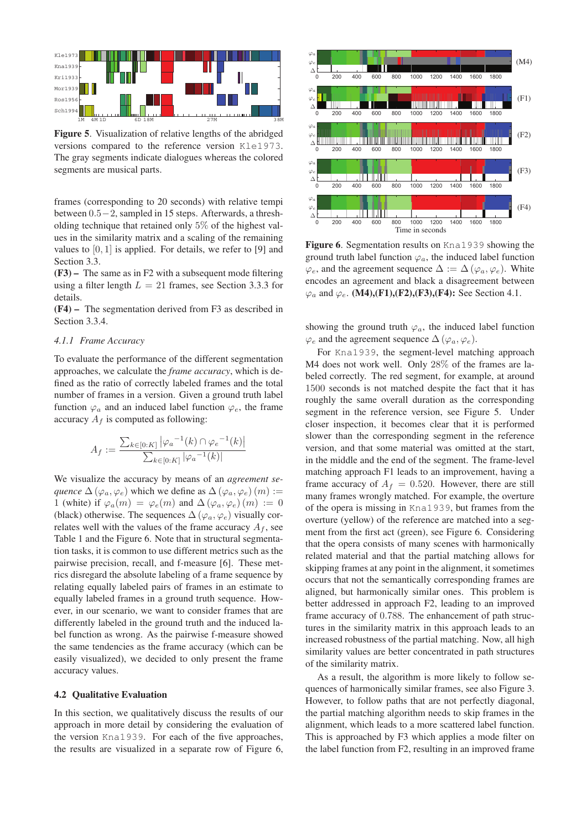

Figure 5. Visualization of relative lengths of the abridged versions compared to the reference version Kle1973. The gray segments indicate dialogues whereas the colored segments are musical parts.

frames (corresponding to 20 seconds) with relative tempi between 0.5−2, sampled in 15 steps. Afterwards, a thresholding technique that retained only 5% of the highest values in the similarity matrix and a scaling of the remaining values to  $[0, 1]$  is applied. For details, we refer to  $[9]$  and Section 3.3.

(F3) – The same as in F2 with a subsequent mode filtering using a filter length  $L = 21$  frames, see Section 3.3.3 for details.

(F4) – The segmentation derived from F3 as described in Section 3.3.4.

#### *4.1.1 Frame Accuracy*

To evaluate the performance of the different segmentation approaches, we calculate the *frame accuracy*, which is defined as the ratio of correctly labeled frames and the total number of frames in a version. Given a ground truth label function  $\varphi_a$  and an induced label function  $\varphi_e$ , the frame accuracy  $A_f$  is computed as following:

$$
A_f := \frac{\sum_{k \in [0:K]} |\varphi_a^{-1}(k) \cap \varphi_e^{-1}(k)|}{\sum_{k \in [0:K]} |\varphi_a^{-1}(k)|}
$$

We visualize the accuracy by means of an *agreement sequence*  $\Delta(\varphi_a, \varphi_e)$  which we define as  $\Delta(\varphi_a, \varphi_e)$  (*m*) := 1 (white) if  $\varphi_a(m) = \varphi_e(m)$  and  $\Delta(\varphi_a, \varphi_e)(m) := 0$ (black) otherwise. The sequences  $\Delta(\varphi_a, \varphi_e)$  visually correlates well with the values of the frame accuracy  $A_f$ , see Table 1 and the Figure 6. Note that in structural segmentation tasks, it is common to use different metrics such as the pairwise precision, recall, and f-measure [6]. These metrics disregard the absolute labeling of a frame sequence by relating equally labeled pairs of frames in an estimate to equally labeled frames in a ground truth sequence. However, in our scenario, we want to consider frames that are differently labeled in the ground truth and the induced label function as wrong. As the pairwise f-measure showed the same tendencies as the frame accuracy (which can be easily visualized), we decided to only present the frame accuracy values.

## 4.2 Qualitative Evaluation

In this section, we qualitatively discuss the results of our approach in more detail by considering the evaluation of the version Kna1939. For each of the five approaches, the results are visualized in a separate row of Figure 6,



Figure 6. Segmentation results on Kna1939 showing the ground truth label function  $\varphi_a$ , the induced label function  $\varphi_e$ , and the agreement sequence  $\Delta := \Delta (\varphi_a, \varphi_e)$ . White encodes an agreement and black a disagreement between  $\varphi_a$  and  $\varphi_e$ . (M4),(F1),(F2),(F3),(F4): See Section 4.1.

showing the ground truth  $\varphi_a$ , the induced label function  $\varphi_e$  and the agreement sequence  $\Delta(\varphi_a, \varphi_e)$ .

For Kna1939, the segment-level matching approach M4 does not work well. Only 28% of the frames are labeled correctly. The red segment, for example, at around 1500 seconds is not matched despite the fact that it has roughly the same overall duration as the corresponding segment in the reference version, see Figure 5. Under closer inspection, it becomes clear that it is performed slower than the corresponding segment in the reference version, and that some material was omitted at the start, in the middle and the end of the segment. The frame-level matching approach F1 leads to an improvement, having a frame accuracy of  $A_f = 0.520$ . However, there are still many frames wrongly matched. For example, the overture of the opera is missing in Kna1939, but frames from the overture (yellow) of the reference are matched into a segment from the first act (green), see Figure 6. Considering that the opera consists of many scenes with harmonically related material and that the partial matching allows for skipping frames at any point in the alignment, it sometimes occurs that not the semantically corresponding frames are aligned, but harmonically similar ones. This problem is better addressed in approach F2, leading to an improved frame accuracy of 0.788. The enhancement of path structures in the similarity matrix in this approach leads to an increased robustness of the partial matching. Now, all high similarity values are better concentrated in path structures of the similarity matrix.

As a result, the algorithm is more likely to follow sequences of harmonically similar frames, see also Figure 3. However, to follow paths that are not perfectly diagonal, the partial matching algorithm needs to skip frames in the alignment, which leads to a more scattered label function. This is approached by F3 which applies a mode filter on the label function from F2, resulting in an improved frame